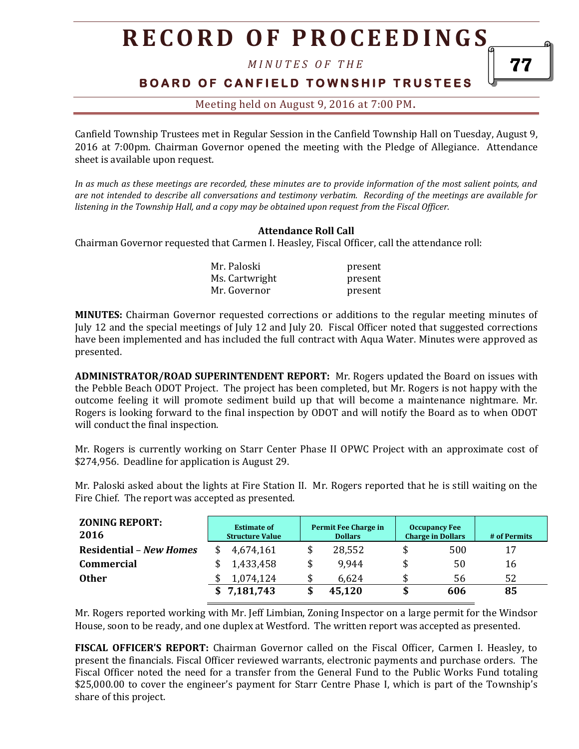*M I N U T E S O F T H E* 

### **B O A R D O F C A N F I E L D T O W N S H I P T R U S T E E S**

### Meeting held on August 9, 2016 at 7:00 PM**.**

Canfield Township Trustees met in Regular Session in the Canfield Township Hall on Tuesday, August 9, 2016 at 7:00pm. Chairman Governor opened the meeting with the Pledge of Allegiance. Attendance sheet is available upon request.

*In as much as these meetings are recorded, these minutes are to provide information of the most salient points, and are not intended to describe all conversations and testimony verbatim. Recording of the meetings are available for listening in the Township Hall, and a copy may be obtained upon request from the Fiscal Officer.* 

### **Attendance Roll Call**

Chairman Governor requested that Carmen I. Heasley, Fiscal Officer, call the attendance roll:

| Mr. Paloski    | present |
|----------------|---------|
| Ms. Cartwright | present |
| Mr. Governor   | present |

**MINUTES:** Chairman Governor requested corrections or additions to the regular meeting minutes of July 12 and the special meetings of July 12 and July 20. Fiscal Officer noted that suggested corrections have been implemented and has included the full contract with Aqua Water. Minutes were approved as presented.

**ADMINISTRATOR/ROAD SUPERINTENDENT REPORT:** Mr. Rogers updated the Board on issues with the Pebble Beach ODOT Project. The project has been completed, but Mr. Rogers is not happy with the outcome feeling it will promote sediment build up that will become a maintenance nightmare. Mr. Rogers is looking forward to the final inspection by ODOT and will notify the Board as to when ODOT will conduct the final inspection.

Mr. Rogers is currently working on Starr Center Phase II OPWC Project with an approximate cost of \$274,956. Deadline for application is August 29.

Mr. Paloski asked about the lights at Fire Station II. Mr. Rogers reported that he is still waiting on the Fire Chief. The report was accepted as presented.

| <b>ZONING REPORT:</b><br>2016  | <b>Estimate of</b><br><b>Structure Value</b> |           | Permit Fee Charge in<br><b>Dollars</b> |        | <b>Occupancy Fee</b><br><b>Charge in Dollars</b> |     | # of Permits |
|--------------------------------|----------------------------------------------|-----------|----------------------------------------|--------|--------------------------------------------------|-----|--------------|
| <b>Residential - New Homes</b> |                                              | 4,674,161 |                                        | 28,552 | \$                                               | 500 | 17           |
| <b>Commercial</b>              |                                              | 1,433,458 |                                        | 9.944  | \$                                               | 50  | 16           |
| <b>Other</b>                   |                                              | 1,074,124 |                                        | 6,624  |                                                  | 56  | 52           |
|                                |                                              | 7,181,743 |                                        | 45,120 | \$                                               | 606 | 85           |

Mr. Rogers reported working with Mr. Jeff Limbian, Zoning Inspector on a large permit for the Windsor House, soon to be ready, and one duplex at Westford. The written report was accepted as presented.

**FISCAL OFFICER'S REPORT:** Chairman Governor called on the Fiscal Officer, Carmen I. Heasley, to present the financials. Fiscal Officer reviewed warrants, electronic payments and purchase orders. The Fiscal Officer noted the need for a transfer from the General Fund to the Public Works Fund totaling \$25,000.00 to cover the engineer's payment for Starr Centre Phase I, which is part of the Township's share of this project.

77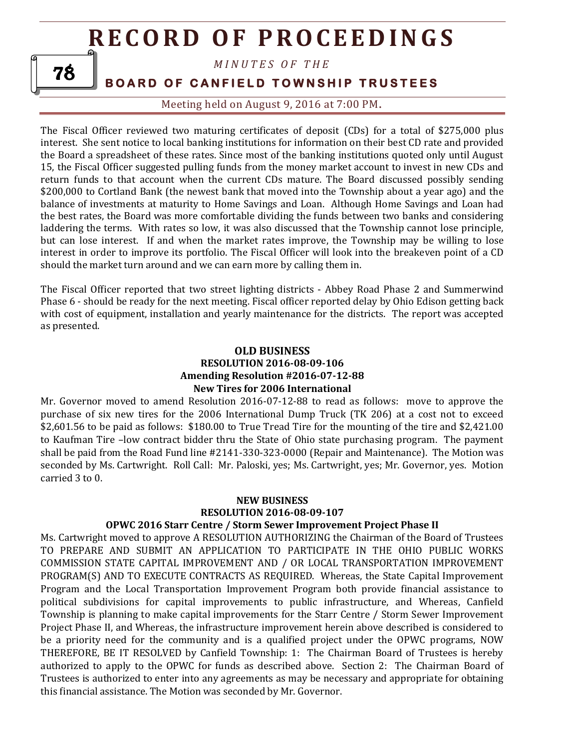*M I N U T E S O F T H E* 

### **BOARD OF CANFIELD TOWNSHIP TRUSTEES**

Meeting held on August 9, 2016 at 7:00 PM**.**

The Fiscal Officer reviewed two maturing certificates of deposit (CDs) for a total of \$275,000 plus interest. She sent notice to local banking institutions for information on their best CD rate and provided the Board a spreadsheet of these rates. Since most of the banking institutions quoted only until August 15, the Fiscal Officer suggested pulling funds from the money market account to invest in new CDs and return funds to that account when the current CDs mature. The Board discussed possibly sending \$200,000 to Cortland Bank (the newest bank that moved into the Township about a year ago) and the balance of investments at maturity to Home Savings and Loan. Although Home Savings and Loan had the best rates, the Board was more comfortable dividing the funds between two banks and considering laddering the terms. With rates so low, it was also discussed that the Township cannot lose principle, but can lose interest. If and when the market rates improve, the Township may be willing to lose interest in order to improve its portfolio. The Fiscal Officer will look into the breakeven point of a CD should the market turn around and we can earn more by calling them in.

The Fiscal Officer reported that two street lighting districts - Abbey Road Phase 2 and Summerwind Phase 6 - should be ready for the next meeting. Fiscal officer reported delay by Ohio Edison getting back with cost of equipment, installation and yearly maintenance for the districts. The report was accepted as presented.

### **OLD BUSINESS RESOLUTION 2016-08-09-106 Amending Resolution #2016-07-12-88 New Tires for 2006 International**

Mr. Governor moved to amend Resolution 2016-07-12-88 to read as follows: move to approve the purchase of six new tires for the 2006 International Dump Truck (TK 206) at a cost not to exceed \$2,601.56 to be paid as follows: \$180.00 to True Tread Tire for the mounting of the tire and \$2,421.00 to Kaufman Tire –low contract bidder thru the State of Ohio state purchasing program. The payment shall be paid from the Road Fund line #2141-330-323-0000 (Repair and Maintenance). The Motion was seconded by Ms. Cartwright. Roll Call: Mr. Paloski, yes; Ms. Cartwright, yes; Mr. Governor, yes. Motion carried 3 to 0.

### **NEW BUSINESS RESOLUTION 2016-08-09-107 OPWC 2016 Starr Centre / Storm Sewer Improvement Project Phase II**

Ms. Cartwright moved to approve A RESOLUTION AUTHORIZING the Chairman of the Board of Trustees TO PREPARE AND SUBMIT AN APPLICATION TO PARTICIPATE IN THE OHIO PUBLIC WORKS COMMISSION STATE CAPITAL IMPROVEMENT AND / OR LOCAL TRANSPORTATION IMPROVEMENT PROGRAM(S) AND TO EXECUTE CONTRACTS AS REQUIRED. Whereas, the State Capital Improvement Program and the Local Transportation Improvement Program both provide financial assistance to political subdivisions for capital improvements to public infrastructure, and Whereas, Canfield Township is planning to make capital improvements for the Starr Centre / Storm Sewer Improvement Project Phase II, and Whereas, the infrastructure improvement herein above described is considered to be a priority need for the community and is a qualified project under the OPWC programs, NOW THEREFORE, BE IT RESOLVED by Canfield Township: 1: The Chairman Board of Trustees is hereby authorized to apply to the OPWC for funds as described above. Section 2: The Chairman Board of Trustees is authorized to enter into any agreements as may be necessary and appropriate for obtaining this financial assistance. The Motion was seconded by Mr. Governor.

78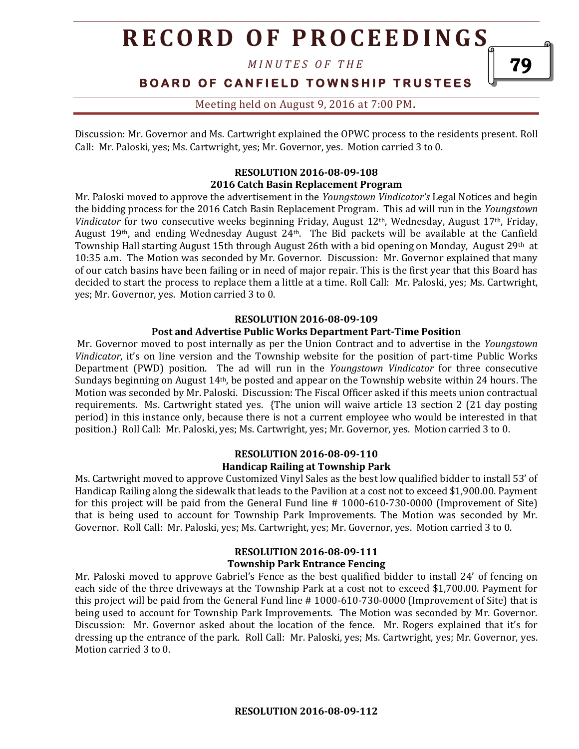*M I N U T E S O F T H E* 

**BOARD OF CANFIELD TOWNSHIP TRUSTEES** 

79

Meeting held on August 9, 2016 at 7:00 PM**.**

Discussion: Mr. Governor and Ms. Cartwright explained the OPWC process to the residents present. Roll Call: Mr. Paloski, yes; Ms. Cartwright, yes; Mr. Governor, yes. Motion carried 3 to 0.

### **RESOLUTION 2016-08-09-108 2016 Catch Basin Replacement Program**

Mr. Paloski moved to approve the advertisement in the *Youngstown Vindicator's* Legal Notices and begin the bidding process for the 2016 Catch Basin Replacement Program. This ad will run in the *Youngstown Vindicator* for two consecutive weeks beginning Friday, August 12th, Wednesday, August 17th, Friday, August 19th, and ending Wednesday August 24th. The Bid packets will be available at the Canfield Township Hall starting August 15th through August 26th with a bid opening on Monday, August  $29<sup>th</sup>$  at 10:35 a.m. The Motion was seconded by Mr. Governor. Discussion: Mr. Governor explained that many of our catch basins have been failing or in need of major repair. This is the first year that this Board has decided to start the process to replace them a little at a time. Roll Call: Mr. Paloski, yes; Ms. Cartwright, yes; Mr. Governor, yes. Motion carried 3 to 0.

#### **RESOLUTION 2016-08-09-109**

#### **Post and Advertise Public Works Department Part-Time Position**

Mr. Governor moved to post internally as per the Union Contract and to advertise in the *Youngstown Vindicator*, it's on line version and the Township website for the position of part-time Public Works Department (PWD) position. The ad will run in the *Youngstown Vindicator* for three consecutive Sundays beginning on August 14th, be posted and appear on the Township website within 24 hours. The Motion was seconded by Mr. Paloski. Discussion: The Fiscal Officer asked if this meets union contractual requirements. Ms. Cartwright stated yes. {The union will waive article 13 section 2 (21 day posting period) in this instance only, because there is not a current employee who would be interested in that position.} Roll Call: Mr. Paloski, yes; Ms. Cartwright, yes; Mr. Governor, yes. Motion carried 3 to 0.

#### **RESOLUTION 2016-08-09-110 Handicap Railing at Township Park**

Ms. Cartwright moved to approve Customized Vinyl Sales as the best low qualified bidder to install 53' of Handicap Railing along the sidewalk that leads to the Pavilion at a cost not to exceed \$1,900.00. Payment for this project will be paid from the General Fund line # 1000-610-730-0000 (Improvement of Site) that is being used to account for Township Park Improvements. The Motion was seconded by Mr. Governor. Roll Call: Mr. Paloski, yes; Ms. Cartwright, yes; Mr. Governor, yes. Motion carried 3 to 0.

#### **RESOLUTION 2016-08-09-111 Township Park Entrance Fencing**

Mr. Paloski moved to approve Gabriel's Fence as the best qualified bidder to install 24' of fencing on each side of the three driveways at the Township Park at a cost not to exceed \$1,700.00. Payment for this project will be paid from the General Fund line # 1000-610-730-0000 (Improvement of Site) that is being used to account for Township Park Improvements. The Motion was seconded by Mr. Governor. Discussion: Mr. Governor asked about the location of the fence. Mr. Rogers explained that it's for dressing up the entrance of the park. Roll Call: Mr. Paloski, yes; Ms. Cartwright, yes; Mr. Governor, yes. Motion carried 3 to 0.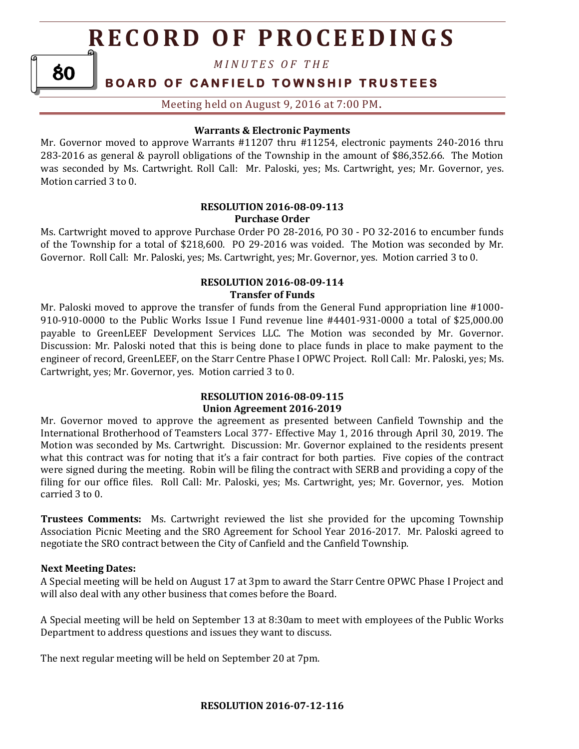*M I N U T E S O F T H E* 

### **BOARD OF CANFIELD TOWNSHIP TRUSTEES**

Meeting held on August 9, 2016 at 7:00 PM**.**

### **Warrants & Electronic Payments**

Mr. Governor moved to approve Warrants #11207 thru #11254, electronic payments 240-2016 thru 283-2016 as general & payroll obligations of the Township in the amount of \$86,352.66. The Motion was seconded by Ms. Cartwright. Roll Call: Mr. Paloski, yes; Ms. Cartwright, yes; Mr. Governor, yes. Motion carried 3 to 0.

### **RESOLUTION 2016-08-09-113 Purchase Order**

Ms. Cartwright moved to approve Purchase Order PO 28-2016, PO 30 - PO 32-2016 to encumber funds of the Township for a total of \$218,600. PO 29-2016 was voided. The Motion was seconded by Mr. Governor. Roll Call: Mr. Paloski, yes; Ms. Cartwright, yes; Mr. Governor, yes. Motion carried 3 to 0.

### **RESOLUTION 2016-08-09-114 Transfer of Funds**

Mr. Paloski moved to approve the transfer of funds from the General Fund appropriation line #1000- 910-910-0000 to the Public Works Issue I Fund revenue line #4401-931-0000 a total of \$25,000.00 payable to GreenLEEF Development Services LLC. The Motion was seconded by Mr. Governor. Discussion: Mr. Paloski noted that this is being done to place funds in place to make payment to the engineer of record, GreenLEEF, on the Starr Centre Phase I OPWC Project. Roll Call: Mr. Paloski, yes; Ms. Cartwright, yes; Mr. Governor, yes. Motion carried 3 to 0.

### **RESOLUTION 2016-08-09-115 Union Agreement 2016-2019**

Mr. Governor moved to approve the agreement as presented between Canfield Township and the International Brotherhood of Teamsters Local 377- Effective May 1, 2016 through April 30, 2019. The Motion was seconded by Ms. Cartwright. Discussion: Mr. Governor explained to the residents present what this contract was for noting that it's a fair contract for both parties. Five copies of the contract were signed during the meeting. Robin will be filing the contract with SERB and providing a copy of the filing for our office files. Roll Call: Mr. Paloski, yes; Ms. Cartwright, yes; Mr. Governor, yes. Motion carried 3 to 0.

**Trustees Comments:** Ms. Cartwright reviewed the list she provided for the upcoming Township Association Picnic Meeting and the SRO Agreement for School Year 2016-2017. Mr. Paloski agreed to negotiate the SRO contract between the City of Canfield and the Canfield Township.

### **Next Meeting Dates:**

80

A Special meeting will be held on August 17 at 3pm to award the Starr Centre OPWC Phase I Project and will also deal with any other business that comes before the Board.

A Special meeting will be held on September 13 at 8:30am to meet with employees of the Public Works Department to address questions and issues they want to discuss.

The next regular meeting will be held on September 20 at 7pm.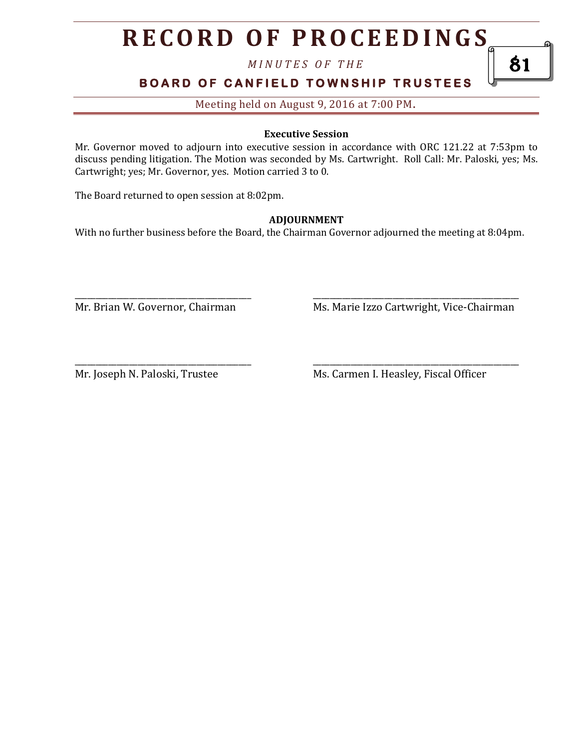*M I N U T E S O F T H E* 

**BOARD OF CANFIELD TOWNSHIP TRUSTEES** 

Meeting held on August 9, 2016 at 7:00 PM**.**

### **Executive Session**

Mr. Governor moved to adjourn into executive session in accordance with ORC 121.22 at 7:53pm to discuss pending litigation. The Motion was seconded by Ms. Cartwright. Roll Call: Mr. Paloski, yes; Ms. Cartwright; yes; Mr. Governor, yes. Motion carried 3 to 0.

The Board returned to open session at 8:02pm.

### **ADJOURNMENT**

With no further business before the Board, the Chairman Governor adjourned the meeting at 8:04pm.

\_\_\_\_\_\_\_\_\_\_\_\_\_\_\_\_\_\_\_\_\_\_\_\_\_\_\_\_\_\_\_\_\_\_\_\_\_\_\_\_\_\_ \_\_\_\_\_\_\_\_\_\_\_\_\_\_\_\_\_\_\_\_\_\_\_\_\_\_\_\_\_\_\_\_\_\_\_\_\_\_\_\_\_\_\_\_\_\_\_\_\_

Mr. Brian W. Governor, Chairman Ms. Marie Izzo Cartwright, Vice-Chairman

\_\_\_\_\_\_\_\_\_\_\_\_\_\_\_\_\_\_\_\_\_\_\_\_\_\_\_\_\_\_\_\_\_\_\_\_\_\_\_\_\_\_ \_\_\_\_\_\_\_\_\_\_\_\_\_\_\_\_\_\_\_\_\_\_\_\_\_\_\_\_\_\_\_\_\_\_\_\_\_\_\_\_\_\_\_\_\_\_\_\_\_ Mr. Joseph N. Paloski, Trustee Ms. Carmen I. Heasley, Fiscal Officer

81